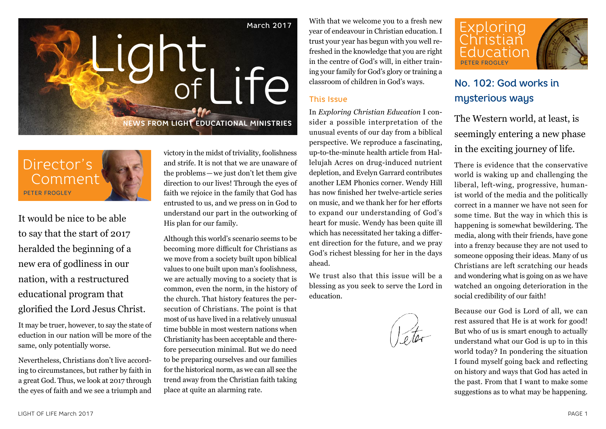

Director's Comment PETER FROGLEY

It would be nice to be able to say that the start of 2017 heralded the beginning of a new era of godliness in our nation, with a restructured educational program that glorified the Lord Jesus Christ.

It may be truer, however, to say the state of eduction in our nation will be more of the same, only potentially worse.

Nevertheless, Christians don't live according to circumstances, but rather by faith in a great God. Thus, we look at 2017 through the eyes of faith and we see a triumph and victory in the midst of triviality, foolishness and strife. It is not that we are unaware of the problems—we just don't let them give direction to our lives! Through the eyes of faith we rejoice in the family that God has entrusted to us, and we press on in God to understand our part in the outworking of His plan for our family.

Although this world's scenario seems to be becoming more difficult for Christians as we move from a society built upon biblical values to one built upon man's foolishness, we are actually moving to a society that is common, even the norm, in the history of the church. That history features the persecution of Christians. The point is that most of us have lived in a relatively unusual time bubble in most western nations when Christianity has been acceptable and therefore persecution minimal. But we do need to be preparing ourselves and our families for the historical norm, as we can all see the trend away from the Christian faith taking place at quite an alarming rate.

With that we welcome you to a fresh new year of endeavour in Christian education. I trust your year has begun with you well refreshed in the knowledge that you are right in the centre of God's will, in either training your family for God's glory or training a classroom of children in God's ways.

### This Issue

In *Exploring Christian Education* I consider a possible interpretation of the unusual events of our day from a biblical perspective. We reproduce a fascinating, up-to-the-minute health article from Hallelujah Acres on drug-induced nutrient depletion, and Evelyn Garrard contributes another LEM Phonics corner. Wendy Hill has now finished her twelve-article series on music, and we thank her for her efforts to expand our understanding of God's heart for music. Wendy has been quite ill which has necessitated her taking a different direction for the future, and we pray God's richest blessing for her in the days ahead.

We trust also that this issue will be a blessing as you seek to serve the Lord in education.



## No. 102: God works in mysterious ways

The Western world, at least, is seemingly entering a new phase in the exciting journey of life.

There is evidence that the conservative world is waking up and challenging the liberal, left-wing, progressive, humanist world of the media and the politically correct in a manner we have not seen for some time. But the way in which this is happening is somewhat bewildering. The media, along with their friends, have gone into a frenzy because they are not used to someone opposing their ideas. Many of us Christians are left scratching our heads and wondering what is going on as we have watched an ongoing deterioration in the social credibility of our faith!

Because our God is Lord of all, we can rest assured that He is at work for good! But who of us is smart enough to actually understand what our God is up to in this world today? In pondering the situation I found myself going back and reflecting on history and ways that God has acted in the past. From that I want to make some suggestions as to what may be happening.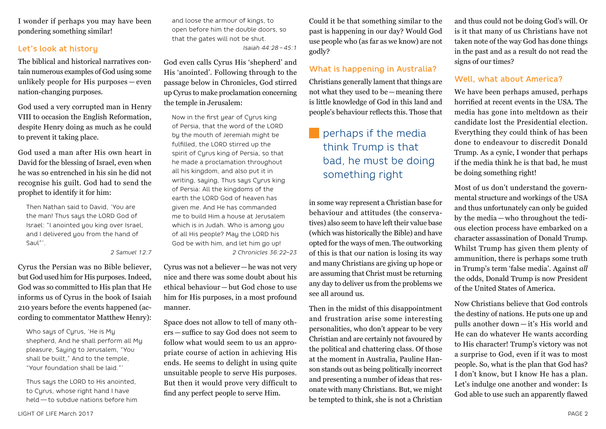I wonder if perhaps you may have been pondering something similar!

### Let's look at history

The biblical and historical narratives contain numerous examples of God using some unlikely people for His purposes — even nation-changing purposes.

God used a very corrupted man in Henry VIII to occasion the English Reformation, despite Henry doing as much as he could to prevent it taking place.

God used a man after His own heart in David for the blessing of Israel, even when he was so entrenched in his sin he did not recognise his guilt. God had to send the prophet to identify it for him:

Then Nathan said to David, 'You are the man! Thus says the LORD God of Israel: "I anointed you king over Israel, and I delivered you from the hand of Saul"'.

#### *2 Samuel 12:7*

Cyrus the Persian was no Bible believer, but God used him for His purposes. Indeed, God was so committed to His plan that He informs us of Cyrus in the book of Isaiah 210 years before the events happened (according to commentator Matthew Henry):

Who saus of Curus, 'He is Mu shepherd, And he shall perform all My pleasure, Saying to Jerusalem, "You shall be built," And to the temple, "Your foundation shall be laid."'

Thus says the LORD to His anointed, to Cyrus, whose right hand I have held — to subdue nations before him and loose the armour of kings, to open before him the double doors, so that the gates will not be shut. *Isaiah 44:28 – 45:1*

God even calls Cyrus His 'shepherd' and His 'anointed'. Following through to the passage below in Chronicles, God stirred up Cyrus to make proclamation concerning the temple in Jerusalem:

Now in the first year of Cyrus king of Persia, that the word of the LORD by the mouth of Jeremiah might be fulfilled, the LORD stirred up the spirit of Cyrus king of Persia, so that he made a proclamation throughout all his kingdom, and also put it in writing, saying, Thus says Cyrus king of Persia: All the kingdoms of the earth the LORD God of heaven has given me. And He has commanded me to build Him a house at Jerusalem which is in Judah. Who is among you of all His people? May the LORD his God be with him, and let him go up! *2 Chronicles 36:22–23*

Cyrus was not a believer—he was not very nice and there was some doubt about his ethical behaviour — but God chose to use him for His purposes, in a most profound manner.

Space does not allow to tell of many others — suffice to say God does not seem to follow what would seem to us an appropriate course of action in achieving His ends. He seems to delight in using quite unsuitable people to serve His purposes. But then it would prove very difficult to find any perfect people to serve Him.

Could it be that something similar to the past is happening in our day? Would God use people who (as far as we know) are not godly?

### What is happening in Australia?

Christians generally lament that things are not what they used to be—meaning there is little knowledge of God in this land and people's behaviour reflects this. Those that

# perhaps if the media think Trump is that bad, he must be doing something right

in some way represent a Christian base for behaviour and attitudes (the conservatives) also seem to have left their value base (which was historically the Bible) and have opted for the ways of men. The outworking of this is that our nation is losing its way and many Christians are giving up hope or are assuming that Christ must be returning any day to deliver us from the problems we see all around us.

Then in the midst of this disappointment and frustration arise some interesting personalities, who don't appear to be very Christian and are certainly not favoured by the political and chattering class. Of those at the moment in Australia, Pauline Hanson stands out as being politically incorrect and presenting a number of ideas that resonate with many Christians. But, we might be tempted to think, she is not a Christian

and thus could not be doing God's will. Or is it that many of us Christians have not taken note of the way God has done things in the past and as a result do not read the signs of our times?

### Well, what about America?

We have been perhaps amused, perhaps horrified at recent events in the USA. The media has gone into meltdown as their candidate lost the Presidential election. Everything they could think of has been done to endeavour to discredit Donald Trump. As a cynic, I wonder that perhaps if the media think he is that bad, he must be doing something right!

Most of us don't understand the governmental structure and workings of the USA and thus unfortunately can only be guided by the media — who throughout the tedious election process have embarked on a character assassination of Donald Trump. Whilst Trump has given them plenty of ammunition, there is perhaps some truth in Trump's term 'false media'. Against *all* the odds, Donald Trump is now President of the United States of America.

Now Christians believe that God controls the destiny of nations. He puts one up and pulls another down — it's His world and He can do whatever He wants according to His character! Trump's victory was not a surprise to God, even if it was to most people. So, what is the plan that God has? I don't know, but I know He has a plan. Let's indulge one another and wonder: Is God able to use such an apparently flawed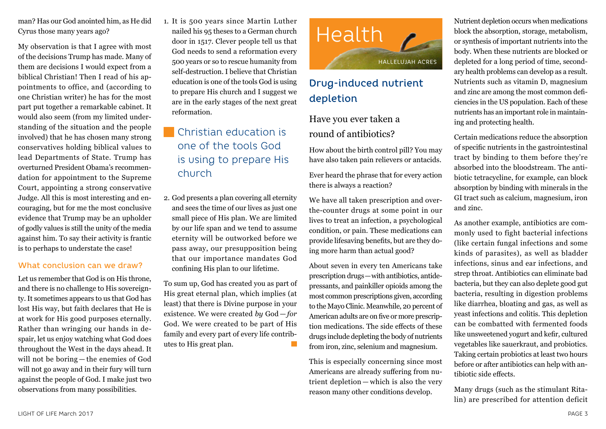man? Has our God anointed him, as He did Cyrus those many years ago?

My observation is that I agree with most of the decisions Trump has made. Many of them are decisions I would expect from a biblical Christian! Then I read of his appointments to office, and (according to one Christian writer) he has for the most part put together a remarkable cabinet. It would also seem (from my limited understanding of the situation and the people involved) that he has chosen many strong conservatives holding biblical values to lead Departments of State. Trump has overturned President Obama's recommendation for appointment to the Supreme Court, appointing a strong conservative Judge. All this is most interesting and encouraging, but for me the most conclusive evidence that Trump may be an upholder of godly values is still the unity of the media against him. To say their activity is frantic is to perhaps to understate the case!

### What conclusion can we draw?

Let us remember that God is on His throne, and there is no challenge to His sovereignty. It sometimes appears to us that God has lost His way, but faith declares that He is at work for His good purposes eternally. Rather than wringing our hands in despair, let us enjoy watching what God does throughout the West in the days ahead. It will not be boring — the enemies of God will not go away and in their fury will turn against the people of God. I make just two observations from many possibilities.

1. It is 500 years since Martin Luther nailed his 95 theses to a German church door in 1517. Clever people tell us that God needs to send a reformation every 500 years or so to rescue humanity from self-destruction. I believe that Christian education is one of the tools God is using to prepare His church and I suggest we are in the early stages of the next great reformation.

# Christian education is one of the tools God is using to prepare His church

2. God presents a plan covering all eternity and sees the time of our lives as just one small piece of His plan. We are limited by our life span and we tend to assume eternity will be outworked before we pass away, our presupposition being that our importance mandates God confining His plan to our lifetime.

To sum up, God has created you as part of His great eternal plan, which implies (at least) that there is Divine purpose in your existence. We were created *by* God — *for* God. We were created to be part of His family and every part of every life contributes to His great plan. **Tale** 



# Drug-induced nutrient depletion

## Have you ever taken a round of antibiotics?

How about the birth control pill? You may have also taken pain relievers or antacids.

Ever heard the phrase that for every action there is always a reaction?

We have all taken prescription and overthe-counter drugs at some point in our lives to treat an infection, a psychological condition, or pain. These medications can provide lifesaving benefits, but are they doing more harm than actual good?

About seven in every ten Americans take prescription drugs—with antibiotics, antidepressants, and painkiller opioids among the most common prescriptions given, according to the Mayo Clinic. Meanwhile, 20 percent of American adults are on five or more prescription medications. The side effects of these drugs include depleting the body of nutrients from iron, zinc, selenium and magnesium.

This is especially concerning since most Americans are already suffering from nutrient depletion — which is also the very reason many other conditions develop.

Nutrient depletion occurs when medications block the absorption, storage, metabolism, or synthesis of important nutrients into the body. When these nutrients are blocked or depleted for a long period of time, secondary health problems can develop as a result. Nutrients such as vitamin D, magnesium and zinc are among the most common deficiencies in the US population. Each of these nutrients has an important role in maintaining and protecting health.

Certain medications reduce the absorption of specific nutrients in the gastrointestinal tract by binding to them before they're absorbed into the bloodstream. The antibiotic tetracycline, for example, can block absorption by binding with minerals in the GI tract such as calcium, magnesium, iron and zinc.

As another example, antibiotics are commonly used to fight bacterial infections (like certain fungal infections and some kinds of parasites), as well as bladder infections, sinus and ear infections, and strep throat. Antibiotics can eliminate bad bacteria, but they can also deplete good gut bacteria, resulting in digestion problems like diarrhea, bloating and gas, as well as yeast infections and colitis. This depletion can be combatted with fermented foods like unsweetened yogurt and kefir, cultured vegetables like sauerkraut, and probiotics. Taking certain probiotics at least two hours before or after antibiotics can help with antibiotic side effects.

Many drugs (such as the stimulant Ritalin) are prescribed for attention deficit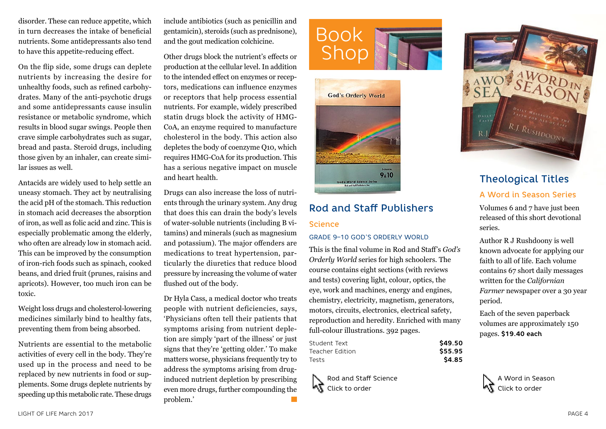disorder. These can reduce appetite, which in turn decreases the intake of beneficial nutrients. Some antidepressants also tend to have this appetite-reducing effect.

On the flip side, some drugs can deplete nutrients by increasing the desire for unhealthy foods, such as refined carbohydrates. Many of the anti-psychotic drugs and some antidepressants cause insulin resistance or metabolic syndrome, which results in blood sugar swings. People then crave simple carbohydrates such as sugar, bread and pasta. Steroid drugs, including those given by an inhaler, can create similar issues as well.

Antacids are widely used to help settle an uneasy stomach. They act by neutralising the acid pH of the stomach. This reduction in stomach acid decreases the absorption of iron, as well as folic acid and zinc. This is especially problematic among the elderly, who often are already low in stomach acid. This can be improved by the consumption of iron-rich foods such as spinach, cooked beans, and dried fruit (prunes, raisins and apricots). However, too much iron can be toxic.

Weight loss drugs and cholesterol-lowering medicines similarly bind to healthy fats, preventing them from being absorbed.

Nutrients are essential to the metabolic activities of every cell in the body. They're used up in the process and need to be replaced by new nutrients in food or supplements. Some drugs deplete nutrients by speeding up this metabolic rate. These drugs

include antibiotics (such as penicillin and gentamicin), steroids (such as prednisone), and the gout medication colchicine.

Other drugs block the nutrient's effects or production at the cellular level. In addition to the intended effect on enzymes or receptors, medications can influence enzymes or receptors that help process essential nutrients. For example, widely prescribed statin drugs block the activity of HMG-CoA, an enzyme required to manufacture cholesterol in the body. This action also depletes the body of coenzyme Q10, which requires HMG-CoA for its production. This has a serious negative impact on muscle and heart health.

Drugs can also increase the loss of nutrients through the urinary system. Any drug that does this can drain the body's levels of water-soluble nutrients (including B vitamins) and minerals (such as magnesium and potassium). The major offenders are medications to treat hypertension, particularly the diuretics that reduce blood pressure by increasing the volume of water flushed out of the body.

Dr Hyla Cass, a medical doctor who treats people with nutrient deficiencies, says, 'Physicians often tell their patients that symptoms arising from nutrient depletion are simply 'part of the illness' or just signs that they're 'getting older.' To make matters worse, physicians frequently try to address the symptoms arising from druginduced nutrient depletion by prescribing even more drugs, further compounding the problem.'  $\mathcal{L}^{\text{max}}$ 





# Rod and Staff Publishers Science

#### GRADE 9–10 GOD'S ORDERLY WORLD

This is the final volume in Rod and Staff's *God's Orderly World* series for high schoolers. The course contains eight sections (with reviews and tests) covering light, colour, optics, the eye, work and machines, energy and engines, chemistry, electricity, magnetism, generators, motors, circuits, electronics, electrical safety, reproduction and heredity. Enriched with many full-colour illustrations. 392 pages.

| Student Text    | \$49.50 |
|-----------------|---------|
| Teacher Edition | \$55.95 |
| Tests           | \$4.85  |

Rod and Staff Science 7٠ Click to order



# Theological Titles

### A Word in Season Series

Volumes 6 and 7 have just been released of this short devotional series.

Author R J Rushdoony is well known advocate for applying our faith to all of life. Each volume contains 67 short daily messages written for the *Californian Farmer* newspaper over a 30 year period.

Each of the seven paperback volumes are approximately 150 pages. **\$19.40 each**

A Word in Season Click to order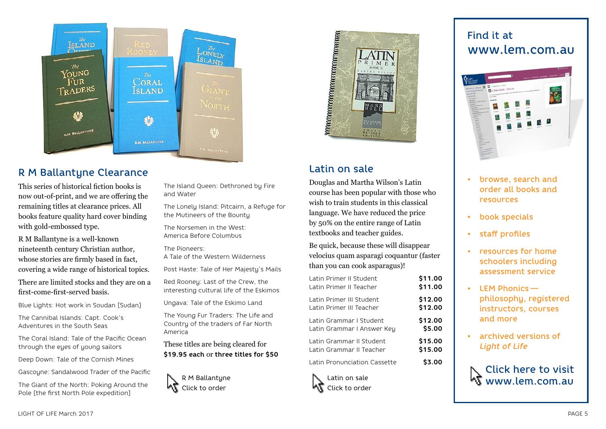

## R M Ballantyne Clearance

This series of historical fiction books is now out-of-print, and we are offering the remaining titles at clearance prices. All books feature quality hard cover binding with gold-embossed type.

R M Ballantyne is a well-known nineteenth century Christian author, whose stories are firmly based in fact, covering a wide range of historical topics.

There are limited stocks and they are on a first-come-first-served basis.

Blue Lights: Hot work in Soudan [Sudan]

The Cannibal Islands: Capt. Cook's Adventures in the South Seas

The Coral Island: Tale of the Pacific Ocean through the eyes of young sailors

Deep Down: Tale of the Cornish Mines

Gascoyne: Sandalwood Trader of the Pacific

The Giant of the North: Poking Around the Pole [the first North Pole expedition]

The Island Queen: Dethroned by Fire and Water

The Lonely Island: Pitcairn, a Refuge for the Mutineers of the Bounty

The Norsemen in the West: America Before Columbus

The Pioneers:

A Tale of the Western Wilderness

Post Haste: Tale of Her Majesty's Mails

Red Rooney: Last of the Crew, the interesting cultural life of the Eskimos

Ungava: Tale of the Eskimo Land

The Young Fur Traders: The Life and Country of the traders of Far North America

These titles are being cleared for **\$19.95 each** or **three titles for \$50**





## Latin on sale

Douglas and Martha Wilson's Latin course has been popular with those who wish to train students in this classical language. We have reduced the price by 50% on the entire range of Latin textbooks and teacher guides.

Be quick, because these will disappear velocius quam asparagi coquantur (faster than you can cook asparagus)!

| Latin Primer II Student      | \$11.00 |
|------------------------------|---------|
| Latin Primer II Teacher      | \$11.00 |
| Latin Primer III Student     | \$12.00 |
| Latin Primer III Teacher     | \$12.00 |
| Latin Grammar I Student      | \$12.00 |
| Latin Grammar I Answer Key   | \$5.00  |
| Latin Grammar II Student     | \$15.00 |
| Latin Grammar II Teacher     | \$15.00 |
| Latin Pronunciation Cassette | \$3.00  |

Latin on sale Click to order

# Find it at www.lem.com.au



- browse, search and order all books and resources
- book specials
- staff profiles
- resources for home schoolers including assessment service
- LEM Phonics   philosophy, registered instructors, courses and more
- archived versions of *Light of Life*